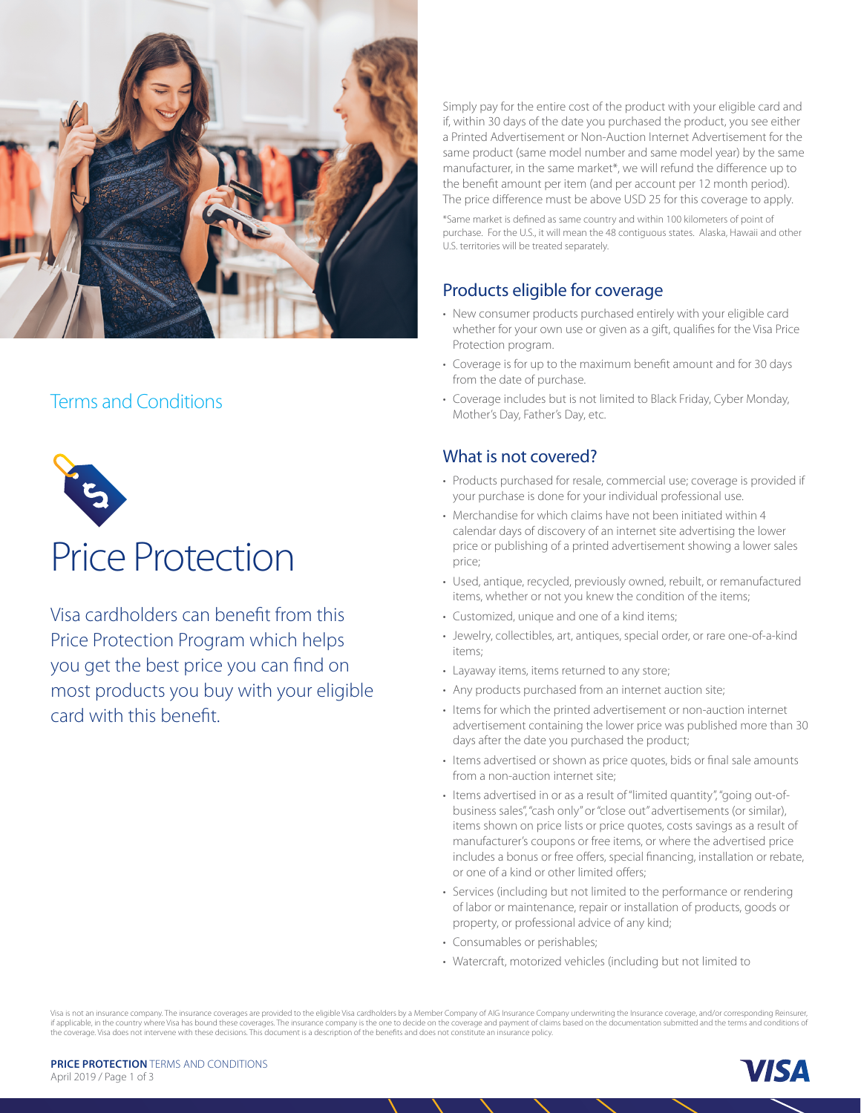

## Terms and Conditions



# Price Protection

Visa cardholders can benefit from this Price Protection Program which helps you get the best price you can find on most products you buy with your eligible card with this benefit.

Simply pay for the entire cost of the product with your eligible card and if, within 30 days of the date you purchased the product, you see either a Printed Advertisement or Non-Auction Internet Advertisement for the same product (same model number and same model year) by the same manufacturer, in the same market\*, we will refund the difference up to the benefit amount per item (and per account per 12 month period). The price difference must be above USD 25 for this coverage to apply.

\*Same market is defined as same country and within 100 kilometers of point of purchase. For the U.S., it will mean the 48 contiguous states. Alaska, Hawaii and other U.S. territories will be treated separately.

#### Products eligible for coverage

- New consumer products purchased entirely with your eligible card whether for your own use or given as a gift, qualifies for the Visa Price Protection program.
- Coverage is for up to the maximum benefit amount and for 30 days from the date of purchase.
- Coverage includes but is not limited to Black Friday, Cyber Monday, Mother's Day, Father's Day, etc.

#### What is not covered?

- Products purchased for resale, commercial use; coverage is provided if your purchase is done for your individual professional use.
- Merchandise for which claims have not been initiated within 4 calendar days of discovery of an internet site advertising the lower price or publishing of a printed advertisement showing a lower sales price;
- Used, antique, recycled, previously owned, rebuilt, or remanufactured items, whether or not you knew the condition of the items;
- Customized, unique and one of a kind items;
- Jewelry, collectibles, art, antiques, special order, or rare one-of-a-kind items;
- Layaway items, items returned to any store;
- Any products purchased from an internet auction site;
- Items for which the printed advertisement or non-auction internet advertisement containing the lower price was published more than 30 days after the date you purchased the product;
- Items advertised or shown as price quotes, bids or final sale amounts from a non-auction internet site;
- Items advertised in or as a result of "limited quantity", "going out-ofbusiness sales", "cash only" or "close out" advertisements (or similar), items shown on price lists or price quotes, costs savings as a result of manufacturer's coupons or free items, or where the advertised price includes a bonus or free offers, special financing, installation or rebate, or one of a kind or other limited offers;
- Services (including but not limited to the performance or rendering of labor or maintenance, repair or installation of products, goods or property, or professional advice of any kind;
- Consumables or perishables;
- Watercraft, motorized vehicles (including but not limited to

Visa is not an insurance company. The insurance coverages are provided to the eligible Visa cardholders by a Member Company of AIG Insurance Company underwriting the Insurance coverage, and/or corresponding Reinsurer, if applicable, in the country where Visa has bound these coverages. The insurance company is the one to decide on the coverage and payment of claims based on the documentation submitted and the terms and conditions of the coverage. Visa does not intervene with these decisions. This document is a description of the benefits and does not constitute an insurance policy.

**PRICE PROTECTION** TERMS AND CONDITIONS April 2019 / Page 1 of 3

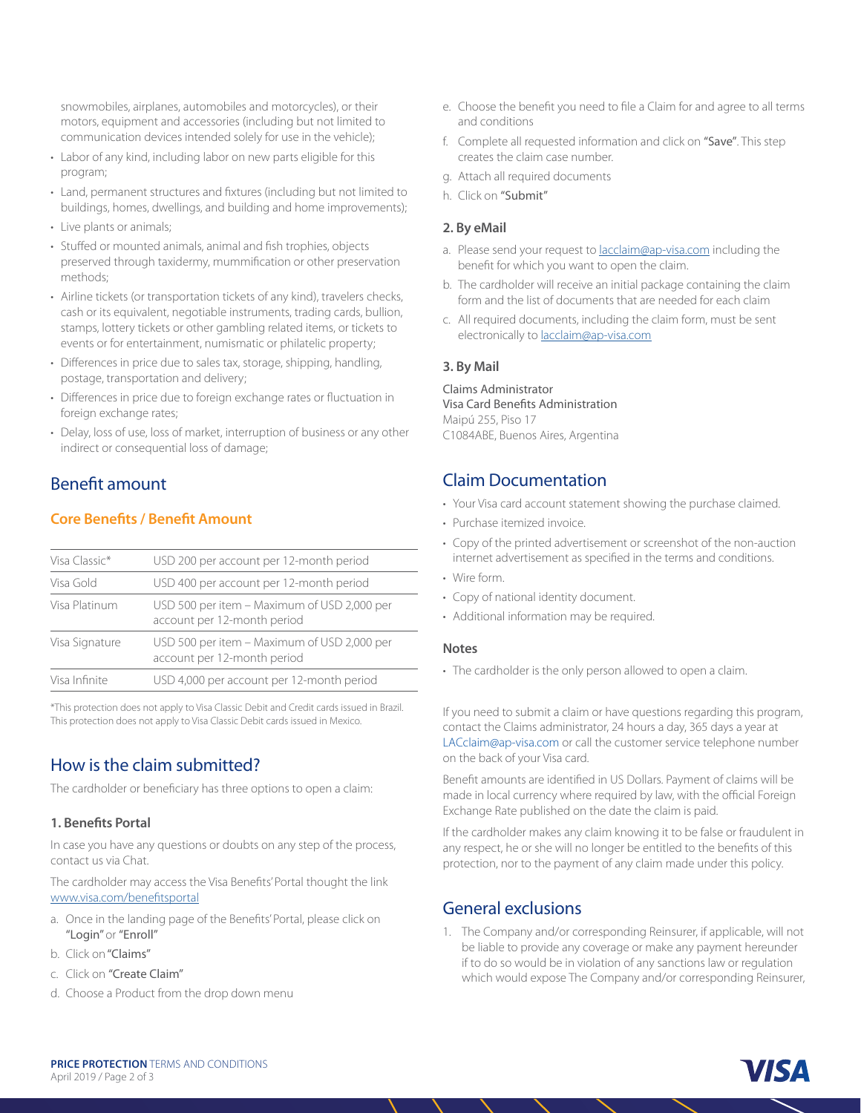snowmobiles, airplanes, automobiles and motorcycles), or their motors, equipment and accessories (including but not limited to communication devices intended solely for use in the vehicle);

- Labor of any kind, including labor on new parts eligible for this program;
- Land, permanent structures and fixtures (including but not limited to buildings, homes, dwellings, and building and home improvements);
- Live plants or animals;
- Stuffed or mounted animals, animal and fish trophies, objects preserved through taxidermy, mummification or other preservation methods;
- Airline tickets (or transportation tickets of any kind), travelers checks, cash or its equivalent, negotiable instruments, trading cards, bullion, stamps, lottery tickets or other gambling related items, or tickets to events or for entertainment, numismatic or philatelic property;
- Differences in price due to sales tax, storage, shipping, handling, postage, transportation and delivery;
- Differences in price due to foreign exchange rates or fluctuation in foreign exchange rates;
- Delay, loss of use, loss of market, interruption of business or any other indirect or consequential loss of damage;

## Benefit amount

#### **Core Benefits / Benefit Amount**

| Visa Classic*  | USD 200 per account per 12-month period                                    |
|----------------|----------------------------------------------------------------------------|
| Visa Gold      | USD 400 per account per 12-month period                                    |
| Visa Platinum  | USD 500 per item - Maximum of USD 2,000 per<br>account per 12-month period |
| Visa Signature | USD 500 per item - Maximum of USD 2,000 per<br>account per 12-month period |
| Visa Infinite  | USD 4,000 per account per 12-month period                                  |
|                |                                                                            |

\*This protection does not apply to Visa Classic Debit and Credit cards issued in Brazil. This protection does not apply to Visa Classic Debit cards issued in Mexico.

# How is the claim submitted?

The cardholder or beneficiary has three options to open a claim:

#### **1. Benefits Portal**

In case you have any questions or doubts on any step of the process, contact us via Chat.

The cardholder may access the Visa Benefits' Portal thought the link www.visa.com/benefitsportal

- a. Once in the landing page of the Benefits' Portal, please click on "Login" or "Enroll"
- b. Click on "Claims"
- c. Click on "Create Claim"
- d. Choose a Product from the drop down menu
- e. Choose the benefit you need to file a Claim for and agree to all terms and conditions
- f. Complete all requested information and click on "Save". This step creates the claim case number.
- g. Attach all required documents
- h. Click on "Submit"

#### **2. By eMail**

- a. Please send your request to lacclaim@ap-visa.com including the benefit for which you want to open the claim.
- b. The cardholder will receive an initial package containing the claim form and the list of documents that are needed for each claim
- c. All required documents, including the claim form, must be sent electronically to lacclaim@ap-visa.com

#### **3. By Mail**

Claims Administrator Visa Card Benefits Administration Maipú 255, Piso 17 C1084ABE, Buenos Aires, Argentina

## Claim Documentation

- Your Visa card account statement showing the purchase claimed.
- Purchase itemized invoice.
- Copy of the printed advertisement or screenshot of the non-auction internet advertisement as specified in the terms and conditions.
- Wire form.
- Copy of national identity document.
- Additional information may be required.

#### **Notes**

• The cardholder is the only person allowed to open a claim.

If you need to submit a claim or have questions regarding this program, contact the Claims administrator, 24 hours a day, 365 days a year at LACclaim@ap-visa.com or call the customer service telephone number on the back of your Visa card.

Benefit amounts are identified in US Dollars. Payment of claims will be made in local currency where required by law, with the official Foreign Exchange Rate published on the date the claim is paid.

If the cardholder makes any claim knowing it to be false or fraudulent in any respect, he or she will no longer be entitled to the benefits of this protection, nor to the payment of any claim made under this policy.

## General exclusions

1. The Company and/or corresponding Reinsurer, if applicable, will not be liable to provide any coverage or make any payment hereunder if to do so would be in violation of any sanctions law or regulation which would expose The Company and/or corresponding Reinsurer,